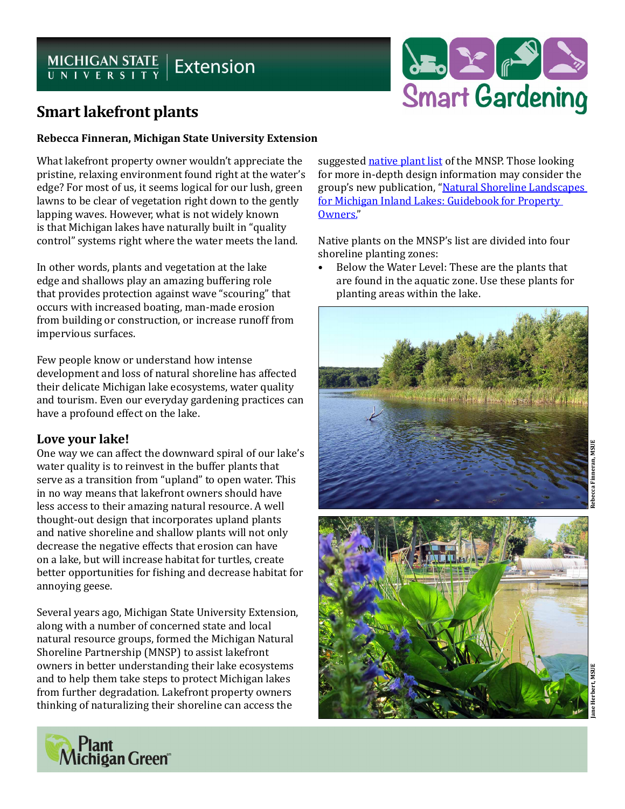# MICHIGAN STATE | Extension



## **Smart lakefront plants**

#### **Rebecca Finneran, Michigan State University Extension**

What lakefront property owner wouldn't appreciate the pristine, relaxing environment found right at the water's edge? For most of us, it seems logical for our lush, green lawns to be clear of vegetation right down to the gently lapping waves. However, what is not widely known is that Michigan lakes have naturally built in "quality control" systems right where the water meets the land.

In other words, plants and vegetation at the lake edge and shallows play an amazing buffering role that provides protection against wave "scouring" that occurs with increased boating, man-made erosion from building or construction, or increase runoff from impervious surfaces.

Few people know or understand how intense development and loss of natural shoreline has affected their delicate Michigan lake ecosystems, water quality and tourism. Even our everyday gardening practices can have a profound effect on the lake.

### **Love your lake!**

One way we can affect the downward spiral of our lake's water quality is to reinvest in the buffer plants that serve as a transition from "upland" to open water. This in no way means that lakefront owners should have less access to their amazing natural resource. A well thought-out design that incorporates upland plants and native shoreline and shallow plants will not only decrease the negative effects that erosion can have on a lake, but will increase habitat for turtles, create better opportunities for fishing and decrease habitat for annoying geese.

Several years ago, Michigan State University Extension, along with a number of concerned state and local natural resource groups, formed the Michigan Natural Shoreline Partnership (MNSP) to assist lakefront owners in better understanding their lake ecosystems and to help them take steps to protect Michigan lakes from further degradation. Lakefront property owners thinking of naturalizing their shoreline can access the

suggested [native plant list](http://michiganlakes.msue.msu.edu/michigan_natural_shoreline_partnership) of the MNSP. Those looking for more in-depth design information may consider the group's new publication, "[Natural Shoreline Landscapes](http://shop.msu.edu/product_p/bulletin-e3145.htm)  [for Michigan Inland Lakes: Guidebook for Property](http://shop.msu.edu/product_p/bulletin-e3145.htm)  [Owners."](http://shop.msu.edu/product_p/bulletin-e3145.htm)

Native plants on the MNSP's list are divided into four shoreline planting zones:

• Below the Water Level: These are the plants that are found in the aquatic zone. Use these plants for planting areas within the lake.